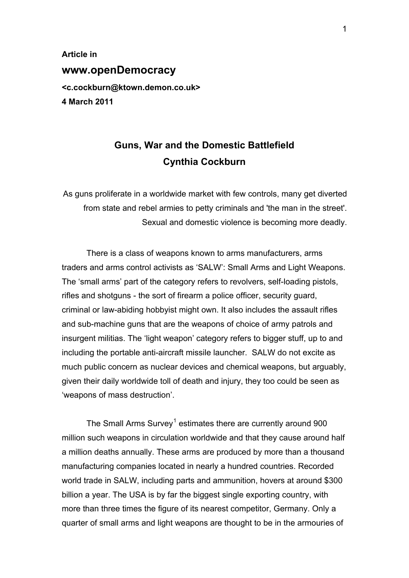**Article in www.openDemocracy <c.cockburn@ktown.demon.co.uk> 4 March 2011** 

## **Guns, War and the Domestic Battlefield Cynthia Cockburn**

As guns proliferate in a worldwide market with few controls, many get diverted from state and rebel armies to petty criminals and 'the man in the street'. Sexual and domestic violence is becoming more deadly.

There is a class of weapons known to arms manufacturers, arms traders and arms control activists as 'SALW': Small Arms and Light Weapons. The 'small arms' part of the category refers to revolvers, self-loading pistols, rifles and shotguns - the sort of firearm a police officer, security guard, criminal or law-abiding hobbyist might own. It also includes the assault rifles and sub-machine guns that are the weapons of choice of army patrols and insurgent militias. The 'light weapon' category refers to bigger stuff, up to and including the portable anti-aircraft missile launcher. SALW do not excite as much public concern as nuclear devices and chemical weapons, but arguably, given their daily worldwide toll of death and injury, they too could be seen as 'weapons of mass destruction'.

The Small Arms Survey<sup>1</sup> estimates there are currently around 900 million such weapons in circulation worldwide and that they cause around half a million deaths annually. The[se](#page-5-0) arms are produced by more than a thousand manufacturing companies located in nearly a hundred countries. Recorded world trade in SALW, including parts and ammunition, hovers at around \$300 billion a year. The USA is by far the biggest single exporting country, with more than three times the figure of its nearest competitor, Germany. Only a quarter of small arms and light weapons are thought to be in the armouries of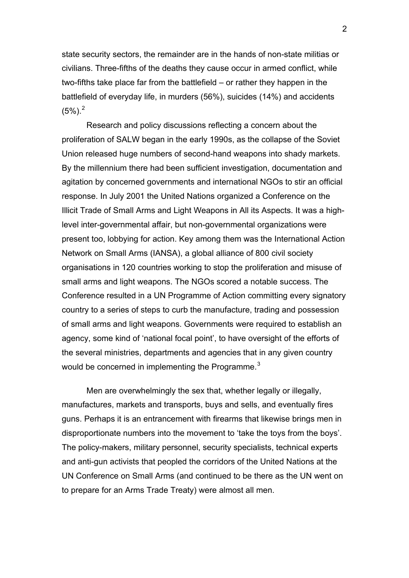state security sectors, the remainder are in the hands of non-state militias or civilians. Three-fifths of the deaths they cause occur in armed conflict, while two-fifths take place far from the battlefield – or rather they happen in the battlefield of everyday life, in murders (56%), suicides (14%) and accidents  $(5\%)$ .<sup>2</sup>

Research and policy discussions reflecting a concern about the prolif[er](#page-5-1)ation of SALW began in the early 1990s, as the collapse of the Soviet Union released huge numbers of second-hand weapons into shady markets. By the millennium there had been sufficient investigation, documentation and agitation by concerned governments and international NGOs to stir an official response. In July 2001 the United Nations organized a Conference on the Illicit Trade of Small Arms and Light Weapons in All its Aspects. It was a highlevel inter-governmental affair, but non-governmental organizations were present too, lobbying for action. Key among them was the International Action Network on Small Arms (IANSA), a global alliance of 800 civil society organisations in 120 countries working to stop the proliferation and misuse of small arms and light weapons. The NGOs scored a notable success. The Conference resulted in a UN Programme of Action committing every signatory country to a series of steps to curb the manufacture, trading and possession of small arms and light weapons. Governments were required to establish an agency, some kind of 'national focal point', to have oversight of the efforts of the several ministries, departments and agencies that in any given country would be concerned in implementing the Programme. $3$ 

Men are overwhelmingly the sex that, whether legally or illegally, manufactures, markets and transports, buys and sells[,](#page-5-1) and eventually fires guns. Perhaps it is an entrancement with firearms that likewise brings men in disproportionate numbers into the movement to 'take the toys from the boys'. The policy-makers, military personnel, security specialists, technical experts and anti-gun activists that peopled the corridors of the United Nations at the UN Conference on Small Arms (and continued to be there as the UN went on to prepare for an Arms Trade Treaty) were almost all men.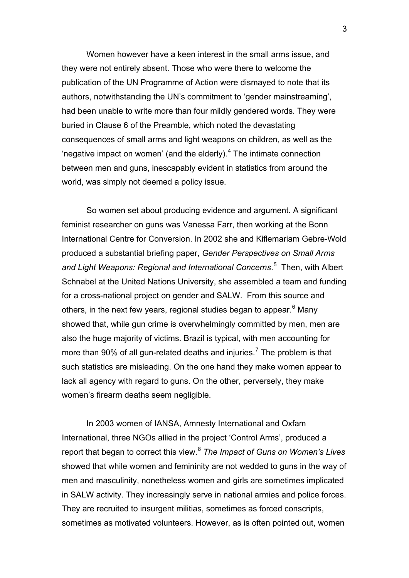Women however have a keen interest in the small arms issue, and they were not entirely absent. Those who were there to welcome the publication of the UN Programme of Action were dismayed to note that its authors, notwithstanding the UN's commitment to 'gender mainstreaming', had been unable to write more than four mildly gendered words. They were buried in Clause 6 of the Preamble, which noted the devastating consequences of small arms and light weapons on children, as well as the 'negative impact on women' (and the elderly). $4$  The intimate connection between men and guns, inescapably evident in statistics from around the world, was simply not deemed a policy issue.

So women set about producing evidence and argument. A significant feminist researcher on guns was Vanessa Farr, then working at the Bonn International Centre for Conversion. In 2002 she and Kiflemariam Gebre-Wold produced a substantial briefing paper, *Gender Perspectives on Small Arms and Light Weapons: Regional and International Concerns*. 5 Then, with Albert Schnabel at the United Nations University, she assembled a team and funding for a cross-national project on gender and SALW. From t[hi](#page-5-1)s source and others, in the next few years, regional studies began to appear.<sup>6</sup> Many showed that, while gun crime is overwhelmingly committed by men, men are also the huge majority of victims. Brazil is typical, with men acc[o](#page-5-1)unting for more than 90% of all gun-related deaths and injuries.<sup>7</sup> The problem is that such statistics are misleading. On the one hand they make women appear to lack all agency with regard to guns. On the other, per[v](#page-5-1)ersely, they make women's firearm deaths seem negligible.

In 2003 women of IANSA, Amnesty International and Oxfam International, three NGOs allied in the project 'Control Arms', produced a report that began to correct this view.<sup>8</sup> *The Impact of Guns on Women's Lives* showed that while women and femininity are not wedded to guns in the way of men and masculinity, nonetheless w[om](#page-5-1)en and girls are sometimes implicated in SALW activity. They increasingly serve in national armies and police forces. They are recruited to insurgent militias, sometimes as forced conscripts, sometimes as motivated volunteers. However, as is often pointed out, women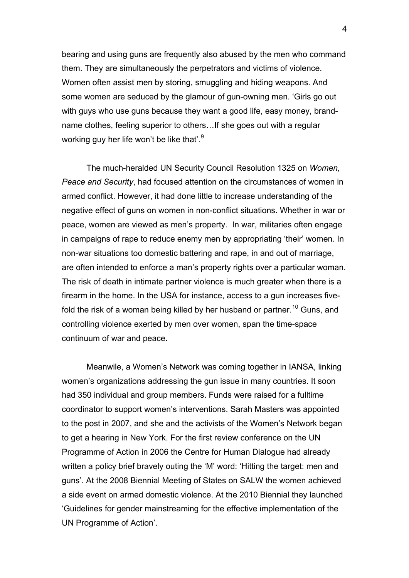bearing and using guns are frequently also abused by the men who command them. They are simultaneously the perpetrators and victims of violence. Women often assist men by storing, smuggling and hiding weapons. And some women are seduced by the glamour of gun-owning men. 'Girls go out with guys who use guns because they want a good life, easy money, brandname clothes, feeling superior to others…If she goes out with a regular working guy her life won't be like that'.<sup>9</sup>

The much-heralded UN Securit[y](#page-5-1) Council Resolution 1325 on *Women, Peace and Security*, had focused attention on the circumstances of women in armed conflict. However, it had done little to increase understanding of the negative effect of guns on women in non-conflict situations. Whether in war or peace, women are viewed as men's property. In war, militaries often engage in campaigns of rape to reduce enemy men by appropriating 'their' women. In non-war situations too domestic battering and rape, in and out of marriage, are often intended to enforce a man's property rights over a particular woman. The risk of death in intimate partner violence is much greater when there is a firearm in the home. In the USA for instance, access to a gun increases fivefold the risk of a woman being killed by her husband or partner.<sup>10</sup> Guns, and controlling violence exerted by men over women, span the time-space continuum of war and peace.

Meanwile, a Women's Network was coming together in IANSA, linking women's organizations addressing the gun issue in many countries. It soon had 350 individual and group members. Funds were raised for a fulltime coordinator to support women's interventions. Sarah Masters was appointed to the post in 2007, and she and the activists of the Women's Network began to get a hearing in New York. For the first review conference on the UN Programme of Action in 2006 the Centre for Human Dialogue had already written a policy brief bravely outing the 'M' word: 'Hitting the target: men and guns'. At the 2008 Biennial Meeting of States on SALW the women achieved a side event on armed domestic violence. At the 2010 Biennial they launched 'Guidelines for gender mainstreaming for the effective implementation of the UN Programme of Action'.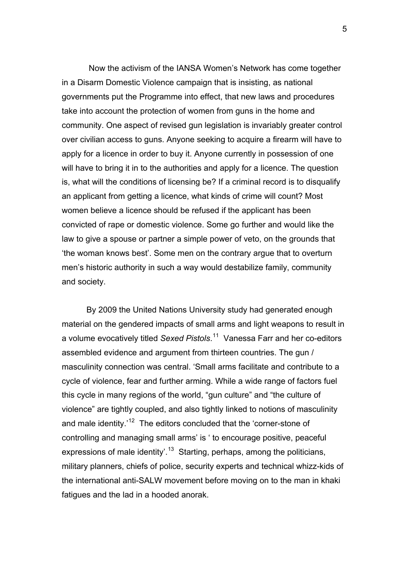Now the activism of the IANSA Women's Network has come together in a Disarm Domestic Violence campaign that is insisting, as national governments put the Programme into effect, that new laws and procedures take into account the protection of women from guns in the home and community. One aspect of revised gun legislation is invariably greater control over civilian access to guns. Anyone seeking to acquire a firearm will have to apply for a licence in order to buy it. Anyone currently in possession of one will have to bring it in to the authorities and apply for a licence. The question is, what will the conditions of licensing be? If a criminal record is to disqualify an applicant from getting a licence, what kinds of crime will count? Most women believe a licence should be refused if the applicant has been convicted of rape or domestic violence. Some go further and would like the law to give a spouse or partner a simple power of veto, on the grounds that 'the woman knows best'. Some men on the contrary argue that to overturn men's historic authority in such a way would destabilize family, community and society.

By 2009 the United Nations University study had generated enough material on the gendered impacts of small arms and light weapons to result in a volume evocatively titled *Sexed Pistols*. 11 Vanessa Farr and her co-editors assembled evidence and argument from thirteen countries. The gun / masculinity connection was central. 'Sma[ll](#page-5-1) arms facilitate and contribute to a cycle of violence, fear and further arming. While a wide range of factors fuel this cycle in many regions of the world, "gun culture" and "the culture of violence" are tightly coupled, and also tightly linked to notions of masculinity and male identity.<sup>'12</sup> The editors concluded that the 'corner-stone of controlling and managing small arms' is ' to encourage positive, peaceful expressions of m[ale](#page-5-1) identity<sup>'.13</sup> Starting, perhaps, among the politicians, military planners, chiefs of police, security experts and technical whizz-kids of the international anti-SALW [m](#page-5-1)ovement before moving on to the man in khaki fatigues and the lad in a hooded anorak.